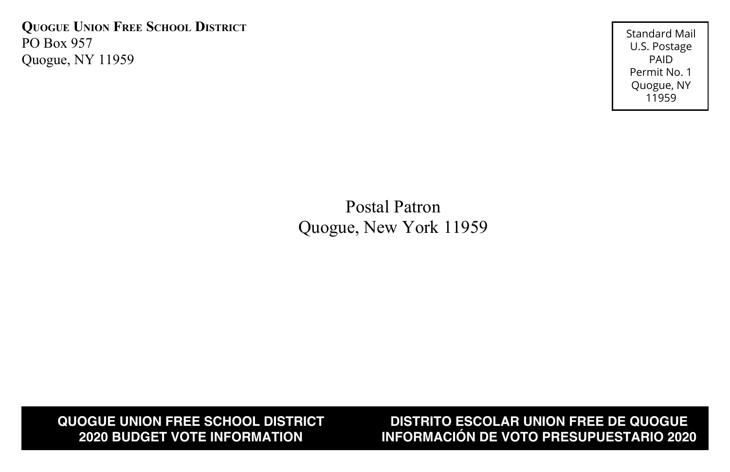**Quogue Union Free School District** PO Box 957 Quogue, NY 11959

Standard Mail U.S. Postage PAID Permit No. 1 Quogue, NY 11959

## Postal Patron Quogue, New York 11959

**QUOGUE UNION FREE SCHOOL DISTRICT 2020 BUDGET VOTE INFORMATION**

**DISTRITO ESCOLAR UNION FREE DE QUOGUE INFORMACIÓN DE VOTO PRESUPUESTARIO 2020**